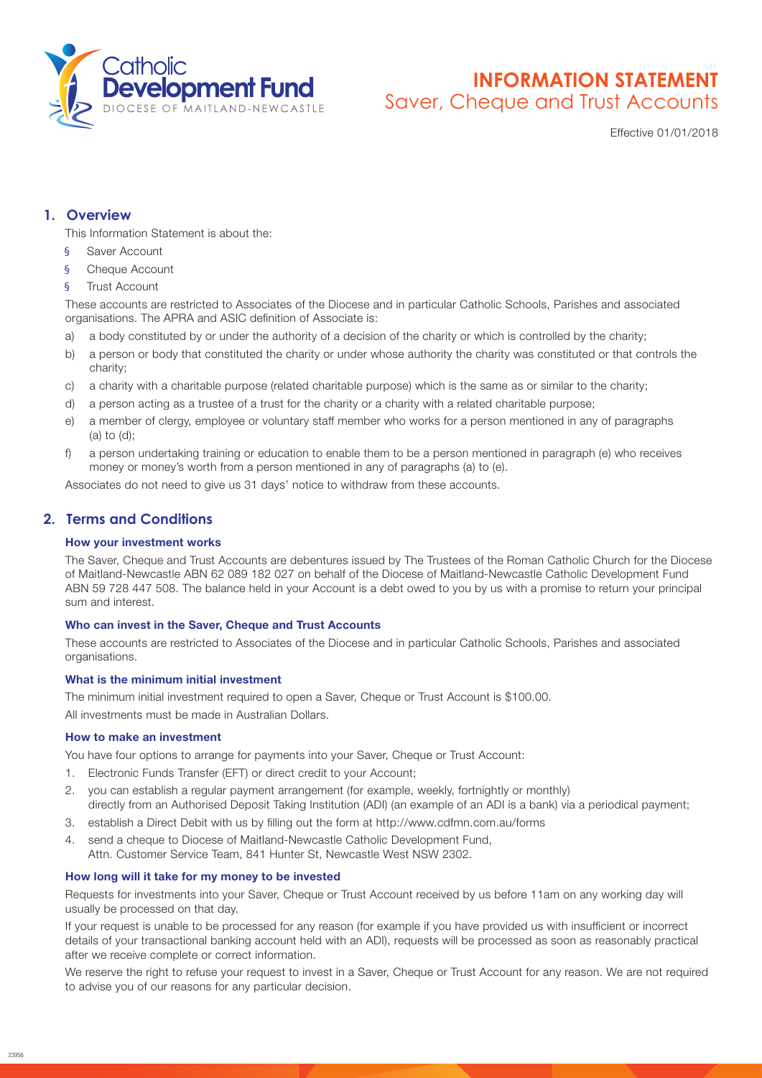

# **INFORMATION STATEMENT** Saver, Cheque and Trust Accounts

Effective 01/01/2018

## **1. Overview**

This Information Statement is about the:

- Saver Account
- § Cheque Account
- § Trust Account

These accounts are restricted to Associates of the Diocese and in particular Catholic Schools, Parishes and associated organisations. The APRA and ASIC definition of Associate is:

- a) a body constituted by or under the authority of a decision of the charity or which is controlled by the charity;
- b) a person or body that constituted the charity or under whose authority the charity was constituted or that controls the charity;
- c) a charity with a charitable purpose (related charitable purpose) which is the same as or similar to the charity;
- d) a person acting as a trustee of a trust for the charity or a charity with a related charitable purpose;
- e) a member of clergy, employee or voluntary staff member who works for a person mentioned in any of paragraphs (a) to (d);
- f) a person undertaking training or education to enable them to be a person mentioned in paragraph (e) who receives money or money's worth from a person mentioned in any of paragraphs (a) to (e).

Associates do not need to give us 31 days' notice to withdraw from these accounts.

## **2. Terms and Conditions**

### How your investment works

The Saver, Cheque and Trust Accounts are debentures issued by The Trustees of the Roman Catholic Church for the Diocese of Maitland-Newcastle ABN 62 089 182 027 on behalf of the Diocese of Maitland-Newcastle Catholic Development Fund ABN 59 728 447 508. The balance held in your Account is a debt owed to you by us with a promise to return your principal sum and interest.

#### Who can invest in the Saver, Cheque and Trust Accounts

These accounts are restricted to Associates of the Diocese and in particular Catholic Schools, Parishes and associated organisations.

## What is the minimum initial investment

The minimum initial investment required to open a Saver, Cheque or Trust Account is \$100.00. All investments must be made in Australian Dollars.

#### How to make an investment

You have four options to arrange for payments into your Saver, Cheque or Trust Account:

- 1. Electronic Funds Transfer (EFT) or direct credit to your Account;
- 2. you can establish a regular payment arrangement (for example, weekly, fortnightly or monthly) directly from an Authorised Deposit Taking Institution (ADI) (an example of an ADI is a bank) via a periodical payment;
- 3. establish a Direct Debit with us by filling out the form at http://www.cdfmn.com.au/forms
- 4. send a cheque to Diocese of Maitland-Newcastle Catholic Development Fund, Attn. Customer Service Team, 841 Hunter St, Newcastle West NSW 2302.

## How long will it take for my money to be invested

Requests for investments into your Saver, Cheque or Trust Account received by us before 11am on any working day will usually be processed on that day.

If your request is unable to be processed for any reason (for example if you have provided us with insufficient or incorrect details of your transactional banking account held with an ADI), requests will be processed as soon as reasonably practical after we receive complete or correct information.

We reserve the right to refuse your request to invest in a Saver, Cheque or Trust Account for any reason. We are not required to advise you of our reasons for any particular decision.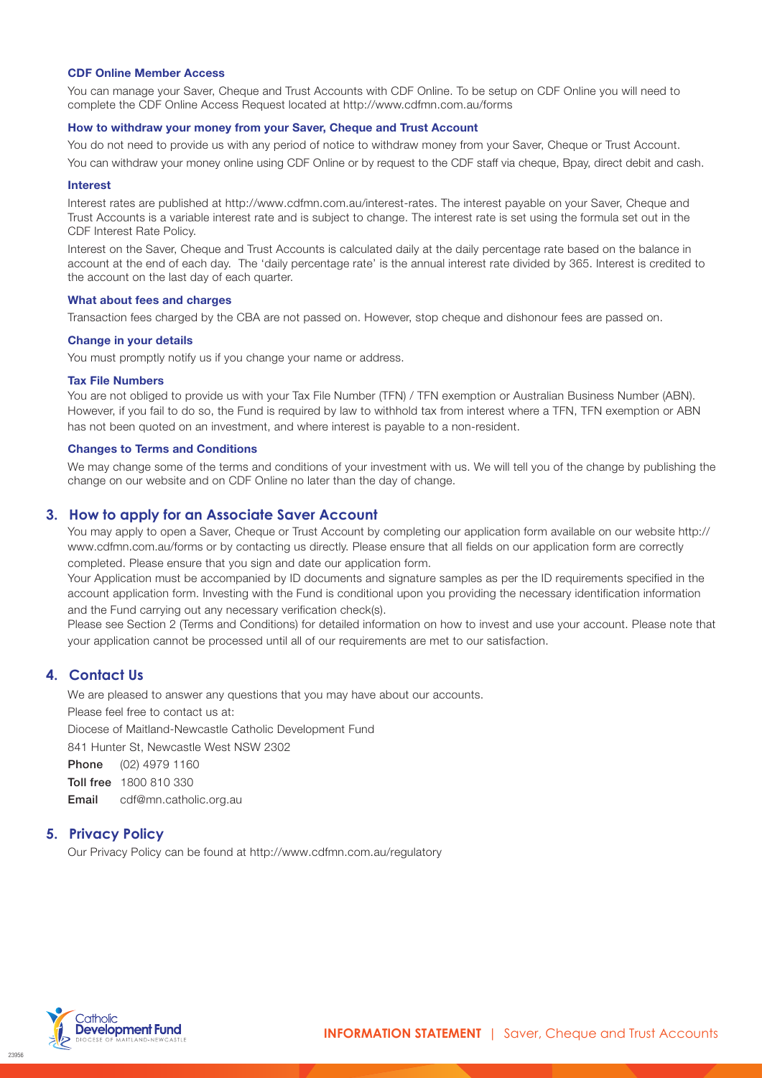#### CDF Online Member Access

You can manage your Saver, Cheque and Trust Accounts with CDF Online. To be setup on CDF Online you will need to complete the CDF Online Access Request located at http://www.cdfmn.com.au/forms

#### How to withdraw your money from your Saver, Cheque and Trust Account

You do not need to provide us with any period of notice to withdraw money from your Saver, Cheque or Trust Account. You can withdraw your money online using CDF Online or by request to the CDF staff via cheque, Bpay, direct debit and cash.

#### Interest

Interest rates are published at [http://www.cdfmn.com.au/](http://www.cdfmn.com.au/interest-rates)interest-rates. The interest payable on your Saver, Cheque and Trust Accounts is a variable interest rate and is subject to change. The interest rate is set using the formula set out in the CDF Interest Rate Policy.

Interest on the Saver, Cheque and Trust Accounts is calculated daily at the daily percentage rate based on the balance in account at the end of each day. The 'daily percentage rate' is the annual interest rate divided by 365. Interest is credited to the account on the last day of each quarter.

#### What about fees and charges

Transaction fees charged by the CBA are not passed on. However, stop cheque and dishonour fees are passed on.

#### Change in your details

You must promptly notify us if you change your name or address.

#### Tax File Numbers

You are not obliged to provide us with your Tax File Number (TFN) / TFN exemption or Australian Business Number (ABN). However, if you fail to do so, the Fund is required by law to withhold tax from interest where a TFN, TFN exemption or ABN has not been quoted on an investment, and where interest is payable to a non-resident.

#### Changes to Terms and Conditions

We may change some of the terms and conditions of your investment with us. We will tell you of the change by publishing the change on our website and on CDF Online no later than the day of change.

## **3. How to apply for an Associate Saver Account**

You may apply to open a Saver, Cheque or Trust Account by completing our application form available on our website http:// www.cdfmn.com.au/forms or by contacting us directly. Please ensure that all fields on our application form are correctly completed. Please ensure that you sign and date our application form.

Your Application must be accompanied by ID documents and signature samples as per the ID requirements specified in the account application form. Investing with the Fund is conditional upon you providing the necessary identification information and the Fund carrying out any necessary verification check(s).

Please see Section 2 (Terms and Conditions) for detailed information on how to invest and use your account. Please note that your application cannot be processed until all of our requirements are met to our satisfaction.

## **4. Contact Us**

We are pleased to answer any questions that you may have about our accounts.

Please feel free to contact us at:

Diocese of Maitland-Newcastle Catholic Development Fund

841 Hunter St, Newcastle West NSW 2302

Phone (02) 4979 1160

Toll free 1800 810 330

Email cdf@mn.catholic.org.au

## **5. Privacy Policy**

Our Privacy Policy can be found at [http://www.cdfmn.com.au/regulat](http://www.cdfmn.com.au/regulatory)ory